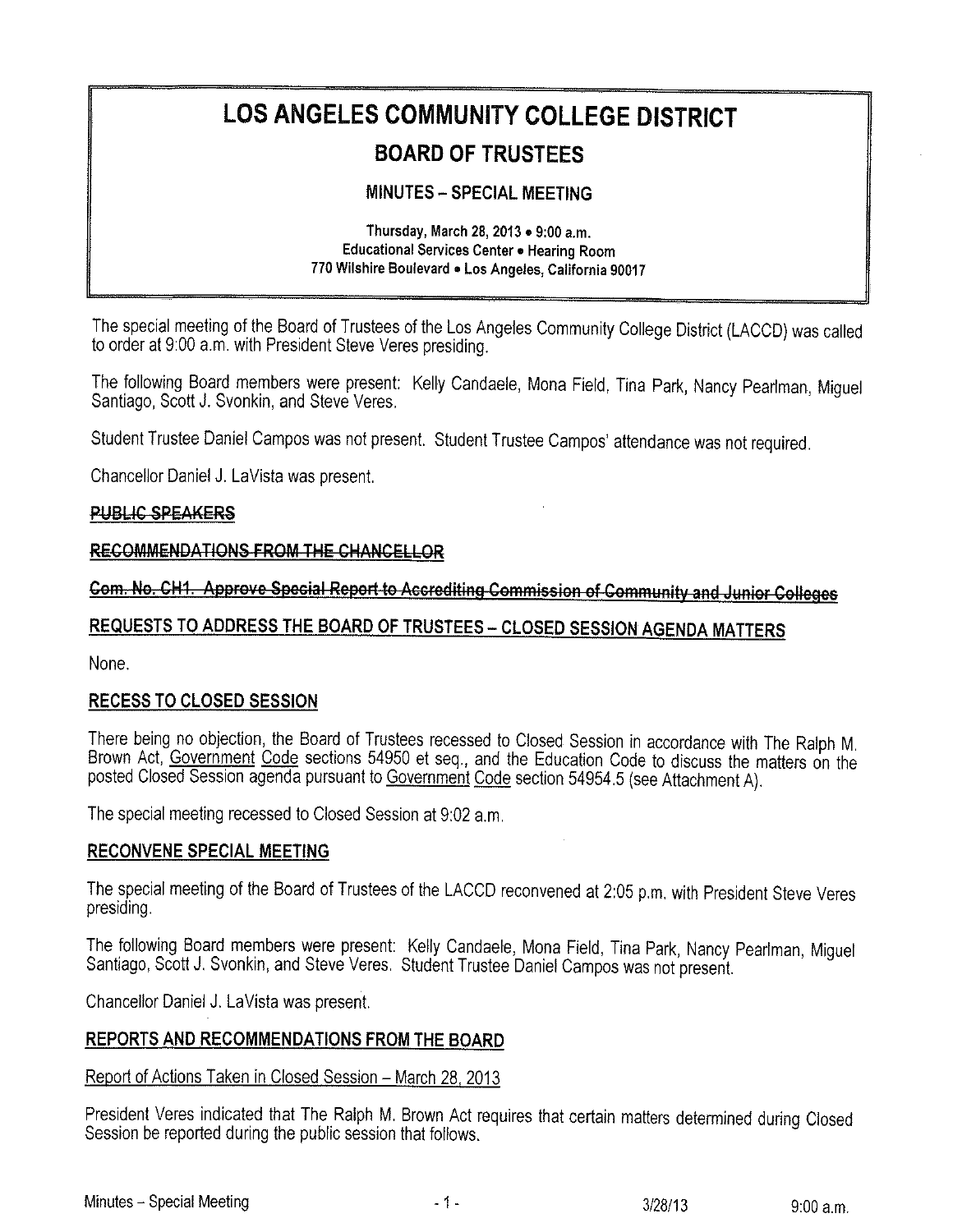# LOS ANGELES COMMUNITY COLLEGE DISTRICT

# **BOARD OF TRUSTEES**

### **MINUTES - SPECIAL MEETING**

Thursday, March 28, 2013 . 9:00 a.m. Educational Services Center . Hearing Room 770 Wilshire Boulevard . Los Angeles, California 90017

The special meeting of the Board of Trustees of the Los Angeles Community College District (LACCD) was called to order at 9:00 a.m. with President Steve Veres presiding.

The following Board members were present: Kelly Candaele, Mona Field, Tina Park, Nancy Pearlman, Miguel Santiago, Scott J. Svonkin, and Steve Veres.

Student Trustee Daniel Campos was not present. Student Trustee Campos' attendance was not required.

Chancellor Daniel J. LaVista was present.

#### **PUBLIC SPEAKERS**

#### RECOMMENDATIONS FROM THE CHANCELLOR

## Com. No. CH1. Approve Special Report to Accrediting Commission of Community and Junior Colleges

# REQUESTS TO ADDRESS THE BOARD OF TRUSTEES - CLOSED SESSION AGENDA MATTERS

None.

#### **RECESS TO CLOSED SESSION**

There being no objection, the Board of Trustees recessed to Closed Session in accordance with The Ralph M. Brown Act, Government Code sections 54950 et seq., and the Education Code to discuss the matters on the posted Closed Session agenda pursuant to Government Code section 54954.5 (see Attachment A).

The special meeting recessed to Closed Session at 9:02 a.m.

#### **RECONVENE SPECIAL MEETING**

The special meeting of the Board of Trustees of the LACCD reconvened at 2:05 p.m. with President Steve Veres presiding.

The following Board members were present: Kelly Candaele, Mona Field, Tina Park, Nancy Pearlman, Miguel Santiago, Scott J. Svonkin, and Steve Veres. Student Trustee Daniel Campos was not present.

Chancellor Daniel J. LaVista was present.

#### REPORTS AND RECOMMENDATIONS FROM THE BOARD

#### Report of Actions Taken in Closed Session - March 28, 2013

President Veres indicated that The Ralph M. Brown Act requires that certain matters determined during Closed Session be reported during the public session that follows.